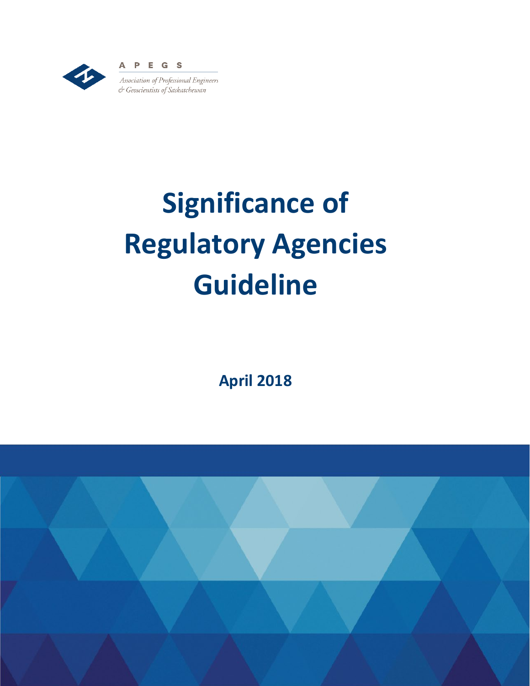

# **Significance of Regulatory Agencies Guideline**

**April 2018**

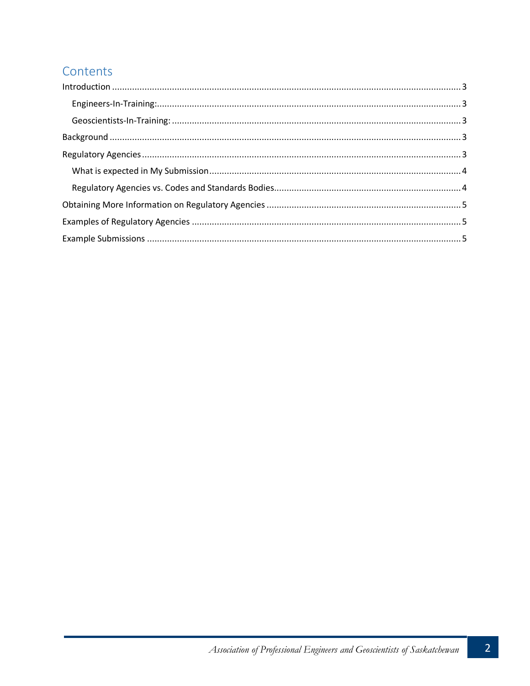## Contents

| $\label{eq:interoduction} \mbox{Introduction} \,\, \ldots \,\, \ldots \,\, \ldots \,\, \ldots \,\, \ldots \,\, \ldots \,\, \ldots \,\, \ldots \,\, \ldots \,\, \ldots \,\, \ldots \,\, \ldots \,\, \ldots \,\, \ldots \,\, \ldots \,\, \ldots \,\, \ldots \,\, \ldots \,\, \ldots \,\, \ldots \,\, \ldots \,\, \ldots \,\, \ldots \,\, \ldots \,\, \ldots \,\, \ldots \,\, \ldots \,\, \ldots \,\, \ldots \,\, \ldots \,\, \ldots \,\, \ldots \,\, \ldots \,\, \ldots \$ |  |
|--------------------------------------------------------------------------------------------------------------------------------------------------------------------------------------------------------------------------------------------------------------------------------------------------------------------------------------------------------------------------------------------------------------------------------------------------------------------------|--|
|                                                                                                                                                                                                                                                                                                                                                                                                                                                                          |  |
|                                                                                                                                                                                                                                                                                                                                                                                                                                                                          |  |
|                                                                                                                                                                                                                                                                                                                                                                                                                                                                          |  |
|                                                                                                                                                                                                                                                                                                                                                                                                                                                                          |  |
|                                                                                                                                                                                                                                                                                                                                                                                                                                                                          |  |
|                                                                                                                                                                                                                                                                                                                                                                                                                                                                          |  |
|                                                                                                                                                                                                                                                                                                                                                                                                                                                                          |  |
|                                                                                                                                                                                                                                                                                                                                                                                                                                                                          |  |
|                                                                                                                                                                                                                                                                                                                                                                                                                                                                          |  |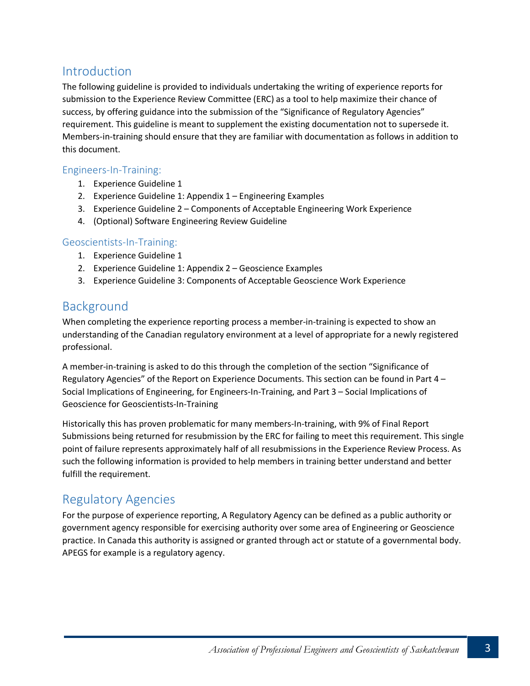#### <span id="page-2-0"></span>Introduction

The following guideline is provided to individuals undertaking the writing of experience reports for submission to the Experience Review Committee (ERC) as a tool to help maximize their chance of success, by offering guidance into the submission of the "Significance of Regulatory Agencies" requirement. This guideline is meant to supplement the existing documentation not to supersede it. Members-in-training should ensure that they are familiar with documentation as follows in addition to this document.

#### <span id="page-2-1"></span>Engineers-In-Training:

- 1. Experience Guideline 1
- 2. Experience Guideline 1: Appendix 1 Engineering Examples
- 3. Experience Guideline 2 Components of Acceptable Engineering Work Experience
- 4. (Optional) Software Engineering Review Guideline

#### <span id="page-2-2"></span>Geoscientists-In-Training:

- 1. Experience Guideline 1
- 2. Experience Guideline 1: Appendix 2 Geoscience Examples
- 3. Experience Guideline 3: Components of Acceptable Geoscience Work Experience

## <span id="page-2-3"></span>Background

When completing the experience reporting process a member-in-training is expected to show an understanding of the Canadian regulatory environment at a level of appropriate for a newly registered professional.

A member-in-training is asked to do this through the completion of the section "Significance of Regulatory Agencies" of the Report on Experience Documents. This section can be found in Part 4 – Social Implications of Engineering, for Engineers-In-Training, and Part 3 – Social Implications of Geoscience for Geoscientists-In-Training

Historically this has proven problematic for many members-In-training, with 9% of Final Report Submissions being returned for resubmission by the ERC for failing to meet this requirement. This single point of failure represents approximately half of all resubmissions in the Experience Review Process. As such the following information is provided to help members in training better understand and better fulfill the requirement.

## <span id="page-2-4"></span>Regulatory Agencies

For the purpose of experience reporting, A Regulatory Agency can be defined as a public authority or government agency responsible for exercising authority over some area of Engineering or Geoscience practice. In Canada this authority is assigned or granted through act or statute of a governmental body. APEGS for example is a regulatory agency.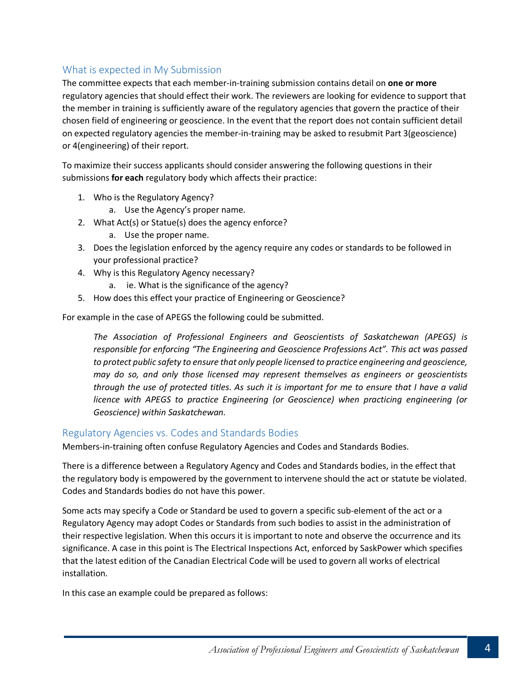#### <span id="page-3-0"></span>What is expected in My Submission

The committee expects that each member-in-training submission contains detail on **one or more** regulatory agencies that should effect their work. The reviewers are looking for evidence to support that the member in training is sufficiently aware of the regulatory agencies that govern the practice of their chosen field of engineering or geoscience. In the event that the report does not contain sufficient detail on expected regulatory agencies the member-in-training may be asked to resubmit Part 3(geoscience) or 4(engineering) of their report.

To maximize their success applicants should consider answering the following questions in their submissions **for each** regulatory body which affects their practice:

- 1. Who is the Regulatory Agency?
	- a. Use the Agency's proper name.
- 2. What Act(s) or Statue(s) does the agency enforce?
	- a. Use the proper name.
- 3. Does the legislation enforced by the agency require any codes or standards to be followed in your professional practice?
- 4. Why is this Regulatory Agency necessary?
	- a. ie. What is the significance of the agency?
- 5. How does this effect your practice of Engineering or Geoscience?

For example in the case of APEGS the following could be submitted.

*The Association of Professional Engineers and Geoscientists of Saskatchewan (APEGS) is responsible for enforcing "The Engineering and Geoscience Professions Act". This act was passed to protect public safety to ensure that only people licensed to practice engineering and geoscience, may do so, and only those licensed may represent themselves as engineers or geoscientists through the use of protected titles. As such it is important for me to ensure that I have a valid licence with APEGS to practice Engineering (or Geoscience) when practicing engineering (or Geoscience) within Saskatchewan.*

#### <span id="page-3-1"></span>Regulatory Agencies vs. Codes and Standards Bodies

Members-in-training often confuse Regulatory Agencies and Codes and Standards Bodies.

There is a difference between a Regulatory Agency and Codes and Standards bodies, in the effect that the regulatory body is empowered by the government to intervene should the act or statute be violated. Codes and Standards bodies do not have this power.

Some acts may specify a Code or Standard be used to govern a specific sub-element of the act or a Regulatory Agency may adopt Codes or Standards from such bodies to assist in the administration of their respective legislation. When this occurs it is important to note and observe the occurrence and its significance. A case in this point is The Electrical Inspections Act, enforced by SaskPower which specifies that the latest edition of the Canadian Electrical Code will be used to govern all works of electrical installation.

In this case an example could be prepared as follows: